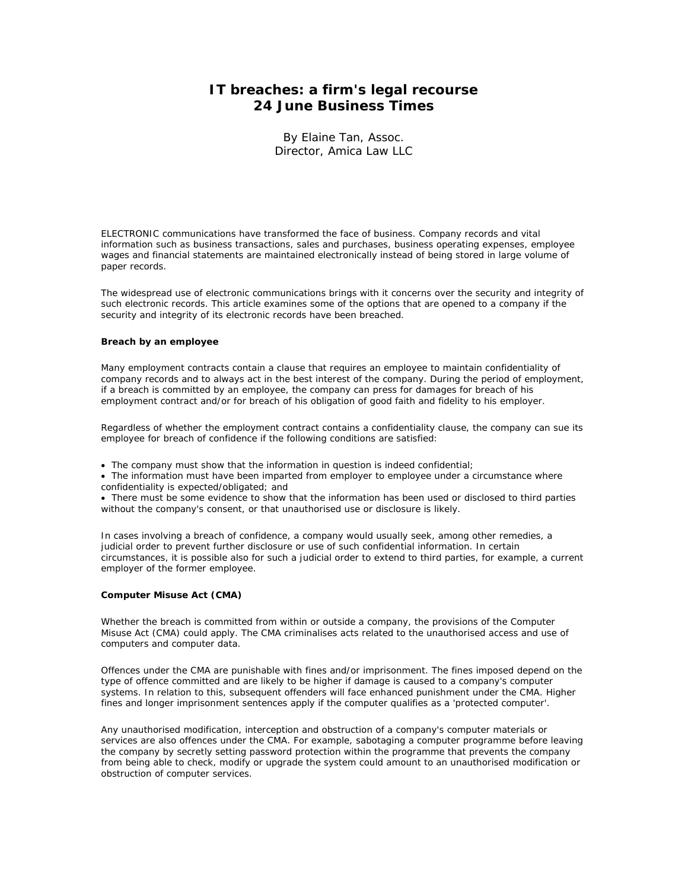# **IT breaches: a firm's legal recourse 24 June Business Times**

By Elaine Tan, Assoc. Director, Amica Law LLC

ELECTRONIC communications have transformed the face of business. Company records and vital information such as business transactions, sales and purchases, business operating expenses, employee wages and financial statements are maintained electronically instead of being stored in large volume of paper records.

The widespread use of electronic communications brings with it concerns over the security and integrity of such electronic records. This article examines some of the options that are opened to a company if the security and integrity of its electronic records have been breached.

## **Breach by an employee**

Many employment contracts contain a clause that requires an employee to maintain confidentiality of company records and to always act in the best interest of the company. During the period of employment, if a breach is committed by an employee, the company can press for damages for breach of his employment contract and/or for breach of his obligation of good faith and fidelity to his employer.

Regardless of whether the employment contract contains a confidentiality clause, the company can sue its employee for breach of confidence if the following conditions are satisfied:

• The company must show that the information in question is indeed confidential;

• The information must have been imparted from employer to employee under a circumstance where confidentiality is expected/obligated; and

• There must be some evidence to show that the information has been used or disclosed to third parties without the company's consent, or that unauthorised use or disclosure is likely.

In cases involving a breach of confidence, a company would usually seek, among other remedies, a judicial order to prevent further disclosure or use of such confidential information. In certain circumstances, it is possible also for such a judicial order to extend to third parties, for example, a current employer of the former employee.

## **Computer Misuse Act (CMA)**

Whether the breach is committed from within or outside a company, the provisions of the Computer Misuse Act (CMA) could apply. The CMA criminalises acts related to the unauthorised access and use of computers and computer data.

Offences under the CMA are punishable with fines and/or imprisonment. The fines imposed depend on the type of offence committed and are likely to be higher if damage is caused to a company's computer systems. In relation to this, subsequent offenders will face enhanced punishment under the CMA. Higher fines and longer imprisonment sentences apply if the computer qualifies as a 'protected computer'.

Any unauthorised modification, interception and obstruction of a company's computer materials or services are also offences under the CMA. For example, sabotaging a computer programme before leaving the company by secretly setting password protection within the programme that prevents the company from being able to check, modify or upgrade the system could amount to an unauthorised modification or obstruction of computer services.